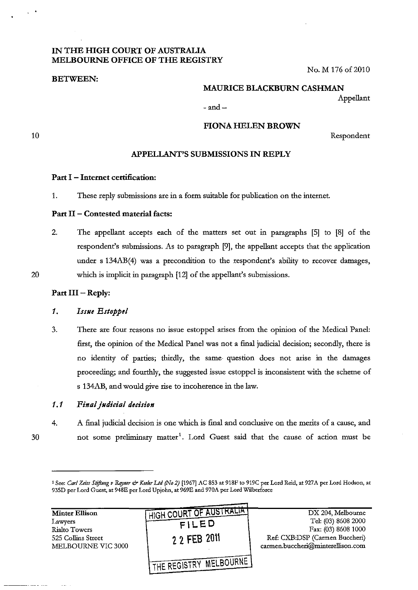# IN THE HIGH COURT OF AUSTRALIA MELBOURNE OFFICE OF THE REGISTRY

BETWEEN:

No. M 176 of 2010

# MAURICE BLACKBURN CASHMAN

 $-$ and $-$ 

10

20

# FIONA HELEN BROWN

Respondent

Appellant

# APPELLANT'S SUBMISSIONS IN REPLY

#### Part I - Internet certification:

1. These reply submissions are in a form suitable for publication on the interoet.

# Part II - Contested material facts:

2. The appellant accepts each of the matters set out in paragraphs [5] to [8] of the respondent's submissions. As to paragraph [9], the appellant accepts that the application under s 134AB(4) was a precondition to the respondent's ability to recover damages, which is implicit in paragraph [12] of the appellant's submissions.

### Part III - Reply:

## 1. Issue Estoppel

3. There are four reasons no issue estoppel arises from the opinion of the Medical Panel: first, the opinion of the Medical Panel was not a final judicial decision; secondly, there is no identity of parties; thirdly, the same· question does not arise in the damages proceeding; and fourthly, the suggested issue estoppel is inconsistent with the scheme of s 134AB, and would give rise to incoherence in the law.

#### 1.1 *Final jlldirial derision*

30

4. A final judicial decision is one which is final and conclusive on the merits of a cause, and not some preliminary matter<sup>1</sup>. Lord Guest said that the cause of action must be

| <b>Minter Ellison</b> | HIGH COURT OF AUSTRALIA    | DX 204, Melbourne                 |
|-----------------------|----------------------------|-----------------------------------|
| Lawyers               | FILED                      | Tel: (03) 8608 2000               |
| Rialto Towers         |                            | Fax: (03) 8608 1000               |
| 525 Collins Street    | 2 2 FEB 2011               | Ref: CXB:DSP (Carmen Buccheri)    |
| MELBOURNE VIC 3000    |                            | carmen.buccheri@minterellison.com |
|                       |                            |                                   |
|                       | ' THE REGISTRY MELBOURNE I |                                   |

<sup>1</sup> See: *Carl Zeiss Stiftung v Rayner & Keeler Ltd (No 2)* [1967] AC 853 at 918F to 919C per Lord Reid, at 927A per Lord Hodson, at 935D per Lord Guest, at 948E per Lord Upjohn, at 969E and 970A per Lord Wilberforce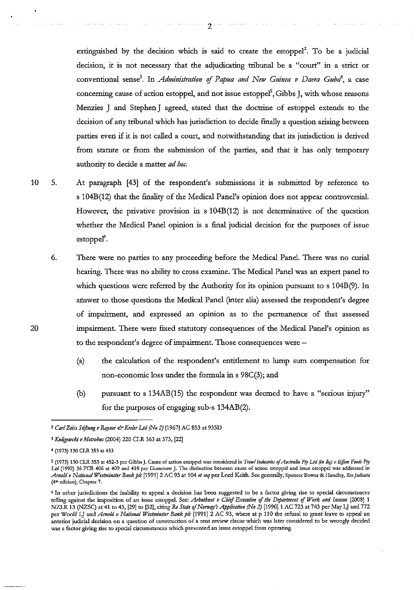extinguished by the decision which is said to create the estoppel'. To be a judicial decision, it is not necessary that the adjudicating tribunal be a "court" in a strict or conventional sense<sup>3</sup>. In *Administration of Papua and New Guinea v Daera Guba<sup>4</sup>, a case* concerning cause of action estoppel, and not issue estoppel<sup>5</sup>, Gibbs J, with whose reasons Menzies J and Stephen J agreed, stated that the doctrine of estoppel extends to the decision of any tribunal which has jurisdiction to decide finally a question arising between parties even if it is not called a court, and notwithstanding that its jurisdiction is detived from statute or from the submission of the parties, and that it has only temporary authority to decide a matter *ad hoc.* 

- 10 5. At paragraph [43] of the respondent's submissions it is submitted by reference to s 104B(12) that the finality of the Medical Panel's opinion does not appear controversial. However, the privative provision in s 104B(12) is not determinative of the question whether the Medical Panel opinion is a final judicial decision for the purposes of issue estoppel<sup>6</sup>.
	- 6. There were no parties to any proceeding before the Medical Panel. There was no curial hearing. There was no ability to cross examine. The Medical Panel was an expert panel to which questions were referred by the Authority for its opinion pursuant to s 104B(9). In answer to those questions the Medical Panel (inter alia) assessed the respondent's degree of impairment, and expressed an opinion as to the permanence of that assessed impairment. There were fixed statutory consequences of the Medical Panel's opinion as to the respondent's degree of impairment. Those consequences were-
		- (a) the calculation of the respondent's entitlement to lump sum compensation for non-economic loss under the formula in s 98C(3); and
		- (b) pursuant to s 134AB(15) the respondent was deemed to have a "serious injury" for the purposes of engaging sub-s 134AB(2).

20

*<sup>2</sup> CarlZeissSI!ftnng v Rqyner& Keeler Lld (.No* 2) [1967] AC 853 at 935D

<sup>3</sup>*Knligowski v Metrobns* (2004) 220 CLR 363 at 373, [22]

<sup>4 (1973) 130</sup> CLR 353 at 453

**<sup>5 (1973) 130</sup> CLR 353 at 452-3 per Gibbs J. Cause of action estoppel was considered in** *Tmwl Industries* **of** *AlIs/ralia Pry Lld (in /iq) v Effim Foods Pry Lld* **(1992) 36 FeR 406 at 409 and 418 per Gummow J. The distinction between cause of action estoppel and issue estoppel was addressed in**  *Arnold V National WestmiIJSter Ballk plc* **I1991] 2 AC 93 at 104** *et seq* **per Lord Keith. See generally, Spencer Bower & Handley,** *Re; judicata*  **(41h edition), Chapter 7.** 

<sup>6</sup> **In other jurisdictions the inability to appeal a decision has been suggested to be a factor giving rise to special circumstances**  telling against the imposition of an issue estoppel. See: *Arbuthnot v Chief Executive of the Department of Work and Income* [2008] 1 NZLR 13 (NZSC) at 41 to 43, [29] to [32], citing *Re State of Norway's Application (No 2)* [1990] 1 AC 723 at 743 per May LJ and 772 **per Woolf L] and** *Amold v National Westminster Bank plc* **[1991] 2 AC 93, where at p 110 the refusal to grant leave to appeal an anterior judicial decision on a question of construction of a rent review clause which was later considered to be wrongly decided was a factor giving rise to special circumstances which prevented an issue estoppel from operating.**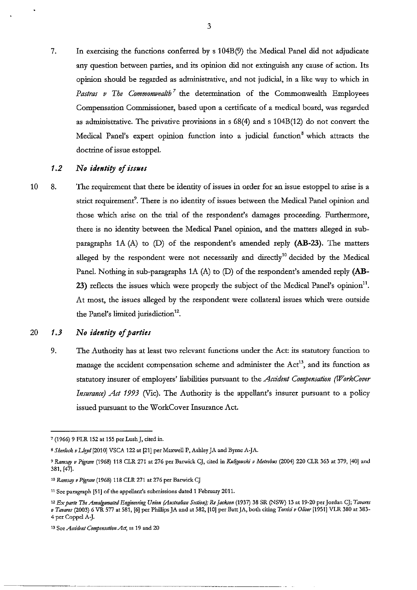7. In exercising the functions conferred by s 104B(9) the Medical Panel did not adjudicate any question between parties, and its opinion did not extinguish any cause of action. Its opinion should be regarded as administrative, and not judicial, in a like way to which in Pastras v The Commonwealth<sup>7</sup> the determination of the Commonwealth Employees Compensation Commissioner, based upon a certificate of a medical board, was regarded as administrative. The privative provisions in s 68(4) and s 104B(12) do not convert the Medical Panel's expert opinion function into a judicial function<sup>8</sup> which attracts the doctrine of issue estoppel.

## 1.2 No identity of issues

10 8. The requirement that there be identity of issues in order for an issue estoppel to arise is a strict requirement<sup>9</sup>. There is no identity of issues between the Medical Panel opinion and those which arise on the trial of the respondent's damages proceeding. Furthermore, there is no identity between the Medical Panel opinion, and the matters alleged in sub· paragraphs lA (A) to (D) of the respondent's amended reply **(AB-23).** The matters alleged by the respondent were not necessarily and directly<sup>10</sup> decided by the Medical Panel. Nothing in sub-paragraphs lA (A) to (D) of the respondent's amended reply **(AB-**23) reflects the issues which were properly the subject of the Medical Panel's opinion". At most, the issues alleged by the respondent were collateral issues which were outside the Panel's limited jurisdiction'2.

#### 20 **1.3**  *No identity of parties*

9. The Authority has at least two relevant functions under the Act: its statutory function to manage the accident compensation scheme and administer the  $Act^{13}$ , and its function as statutory insurer of employers' liabilities pursuant to the *Accident Compensation (UVorkCover Insurance) Act 1993* (Vic). The Authority is the appellant's insurer pursuant to a policy issued pursuant to the WorkCover Insurance Act.

--------\_.\_------\_.

<sup>7 (1966) 9</sup> FLR 152 at 155 per Lush J, cited in.

<sup>8</sup> Sherlock v Lloyd [2010] VSCA 122 at [21] per Maxwell P, Ashley JA and Byrne A-JA.

<sup>&</sup>lt;sup>9</sup> Ramsay v Pigram (1968) 118 CLR 271 at 276 per Barwick CJ, cited in *Kuligowski v Metrobus* (2004) 220 CLR 363 at 379, [40] and 381, [47].

<sup>&</sup>lt;sup>10</sup> Ramsay v Pigram (1968) 118 CLR 271 at 276 per Barwick CJ

**<sup>11</sup> See paragraph [51] of the appellant's submissions dated 1 February 2011.** 

*<sup>12</sup> Ex parte The Amalgamated Engineering Union (Allstralian SeaiO!I),· Re Jackson* **(1937) 38 SR (NSW) 13 at 19-20** per Jordan *CJ; Tavares v Tavares* (2003) 6 VR 577 at 581, [6] per Phlllips JA and at 582, [10] per Batt JA, both citing *Torrisi v Oliver* [1951] VLR 380 at 383- 4 per Coppel A-J.

**<sup>13</sup>See** *Accident Compensation Act,* **ss 19 and 20**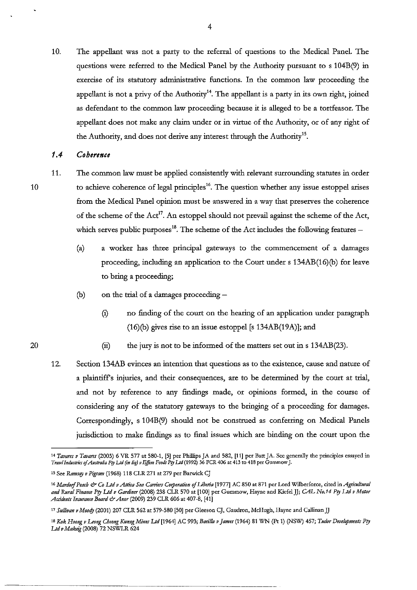10. The appellant was not a party to the referral of questions to the Medical Panel. The questions were referred to the Medical Panel by the Authority pursuant to s 104B(9) in exercise of its statutory administrative functions. In the common law proceeding the appellant is not a privy of the Authority<sup>14</sup>. The appellant is a party in its own right, joined as defendant to the common law proceeding because it is alleged to be a tortfeasor. The appellant does not make any claim under or in virtue of the Authority, or of any right of the Authority, and does not derive any interest through the Authority<sup>15</sup>.

#### **1.4**  *Coherence*

10

20

11. The common law must be applied consistently with relevant surrounding statutes in order to achieve coherence of legal principles<sup>16</sup>. The question whether any issue estoppel arises from the Medical Panel opinion must be answered in a way that preserves the coherence of the scheme of the  $Act<sup>17</sup>$ . An estoppel should not prevail against the scheme of the Act, which serves public purposes<sup>18</sup>. The scheme of the Act includes the following features  $-$ 

- (a) a worker has three principal gateways to the commencement of a damages proceeding, including an application to the Court under s 134AB(16)(b) for leave to bring a proceeding;
- (b) on the trial of a damages proceeding  $-$ 
	- (i) no finding of the court on the hearing of an application under paragraph (16)(b) gives rise to an issue estoppel [s 134AB(19A)]; and
	- (ii) the jury is not to be informed of the matters set out in s 134AB(23).
- 12. Section 134AB evinces an intention that questions as to the existence, cause and nature of a plaintiffs injuries, and their consequences, are to be determined by the court at trial, and not by reference to any findings made, or opinions formed, in the course of considering any of the statutory gateways to the bringing of a proceeding for damages. Correspondingly, s 104B(9) should not be construed as conferring on Medical Panels jurisdiction to make findings as to final issues which are binding on the court upon the

------\_.\_--------- --------\_. ---------------

<sup>&</sup>lt;sup>14</sup> Tavares v Tavares (2003) 6 VR 577 at 580-1, [5] per Phillips JA and 582, [11] per Batt JA. See generally the principles essayed in *Traw/Inditslnu ojAlIslralia Pry UtI (tn* **tiq)** *vEffem Foods PrY LJd* **(1992) 36 FeR 406 at 413 to 418 per Gummow J.** 

<sup>&</sup>lt;sup>15</sup> See *Ramsay v Pigram* (1968) 118 CLR 271 at 279 per Barwick CJ

<sup>&</sup>lt;sup>16</sup> Mardorf Peach & *Co Ltd v Attica Sea Carriers Corporation of Liberia* [1977] AC 850 at 871 per Lord Wilberforce, cited in *Agricultural and Rural Finance P!J Ltd v Gardiner* **(2008) 238 CLR 570 at [100] per Gummow, Hayne and KicfclJJ;** *GAL No.* 14 *Pty Ltd v Motor Accidents Insurance Board* **&** *Anor* **(2009) 239 CLR 606 at 407-8, [41]** 

<sup>&</sup>lt;sup>17</sup> Sullivan v Moody (2001) 207 CLR 562 at 579-580 [50] per Gleeson CJ, Gaudron, McHugh, Hayne and Callinan JJ

<sup>&</sup>lt;sup>18</sup> Kok Hoong v Leong Cheong Kweng Mines Ltd [1964] AC 993; Barilla v James (1964) 81 WN (Pt 1) (NSW) 457; Tudor Developments Pty *Led, Makeig* (2008) 72 NSWLR 624